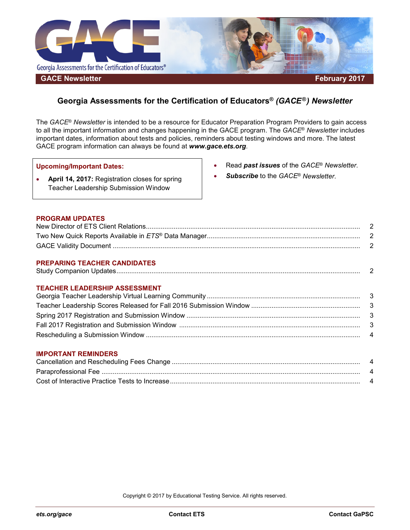

# **Georgia Assessments for the Certification of Educators®** *(GACE***®***) Newsletter*

The *GACE*® *Newsletter* is intended to be a resource for Educator Preparation Program Providers to gain access to all the important information and changes happening in the GACE program. The *GACE*® *Newsletter* includes important dates, information about tests and policies, reminders about testing windows and more. The latest GACE program information can always be found at *[www.gace.ets.org](http://www.gace.ets.org/)*.

#### **Upcoming/Important Dates:**

- **April 14, 2017:** Registration closes for spring Teacher Leadership Submission Window
- Read *[past issues](http://gace.ets.org/program_providers/resources/newsletters/)* of the *GACE*® *Newsletter*.
- *[Subscribe](http://www.pages03.net/ets/gace/Subscribe/?sc=website)* to the *GACE*® *Newsletter*.

#### **PROGRAM UPDATES**

### **PREPARING TEACHER CANDIDATES**

|--|--|--|

#### **TEACHER LEADERSHIP ASSESSMENT**

#### **IMPORTANT REMINDERS**

Copyright © 2017 by Educational Testing Service. All rights reserved.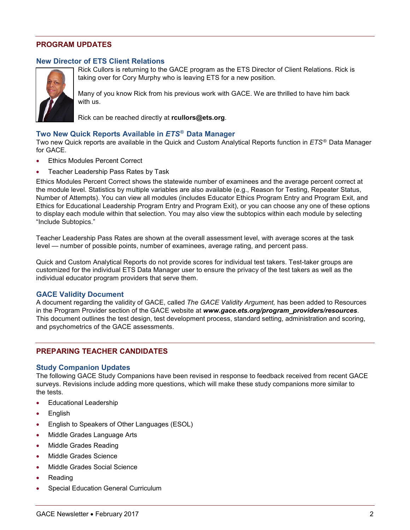# **PROGRAM UPDATES**

# **New Director of ETS Client Relations**



Rick Cullors is returning to the GACE program as the ETS Director of Client Relations. Rick is taking over for Cory Murphy who is leaving ETS for a new position.

Many of you know Rick from his previous work with GACE. We are thrilled to have him back with us.

Rick can be reached directly at **rcullors@ets.org**.

# **Two New Quick Reports Available in** *ETS***® Data Manager**

Two new Quick reports are available in the Quick and Custom Analytical Reports function in *ETS* ® Data Manager for GACE.

- Ethics Modules Percent Correct
- Teacher Leadership Pass Rates by Task

Ethics Modules Percent Correct shows the statewide number of examinees and the average percent correct at the module level. Statistics by multiple variables are also available (e.g., Reason for Testing, Repeater Status, Number of Attempts). You can view all modules (includes Educator Ethics Program Entry and Program Exit, and Ethics for Educational Leadership Program Entry and Program Exit), or you can choose any one of these options to display each module within that selection. You may also view the subtopics within each module by selecting "Include Subtopics."

Teacher Leadership Pass Rates are shown at the overall assessment level, with average scores at the task level — number of possible points, number of examinees, average rating, and percent pass.

Quick and Custom Analytical Reports do not provide scores for individual test takers. Test-taker groups are customized for the individual ETS Data Manager user to ensure the privacy of the test takers as well as the individual educator program providers that serve them.

### **GACE Validity Document**

A document regarding the validity of GACE, called *The GACE Validity Argument,* has been added to Resources in the Program Provider section of the GACE website at *[www.gace.ets.org/program\\_providers/resources](http://www.gace.ets.org/program_providers/resources)*. This document outlines the test design, test development process, standard setting, administration and scoring, and psychometrics of the GACE assessments.

# **PREPARING TEACHER CANDIDATES**

### **Study Companion Updates**

The following GACE Study Companions have been revised in response to feedback received from recent GACE surveys. Revisions include adding more questions, which will make these study companions more similar to the tests.

- **Educational Leadership**
- **English**
- English to Speakers of Other Languages (ESOL)
- Middle Grades Language Arts
- Middle Grades Reading
- Middle Grades Science
- Middle Grades Social Science
- Reading
- Special Education General Curriculum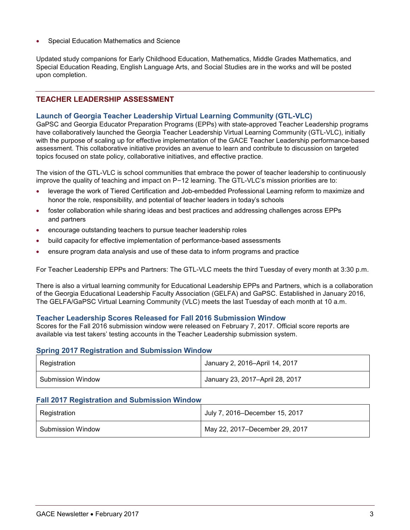• Special Education Mathematics and Science

Updated study companions for Early Childhood Education, Mathematics, Middle Grades Mathematics, and Special Education Reading, English Language Arts, and Social Studies are in the works and will be posted upon completion.

# **TEACHER LEADERSHIP ASSESSMENT**

### **Launch of Georgia Teacher Leadership Virtual Learning Community (GTL-VLC)**

GaPSC and Georgia Educator Preparation Programs (EPPs) with state-approved Teacher Leadership programs have collaboratively launched the Georgia Teacher Leadership Virtual Learning Community (GTL-VLC), initially with the purpose of scaling up for effective implementation of the GACE Teacher Leadership performance-based assessment. This collaborative initiative provides an avenue to learn and contribute to discussion on targeted topics focused on state policy, collaborative initiatives, and effective practice.

The vision of the GTL-VLC is school communities that embrace the power of teacher leadership to continuously improve the quality of teaching and impact on P–12 learning. The GTL-VLC's mission priorities are to:

- leverage the work of Tiered Certification and Job-embedded Professional Learning reform to maximize and honor the role, responsibility, and potential of teacher leaders in today's schools
- foster collaboration while sharing ideas and best practices and addressing challenges across EPPs and partners
- encourage outstanding teachers to pursue teacher leadership roles
- build capacity for effective implementation of performance-based assessments
- ensure program data analysis and use of these data to inform programs and practice

For Teacher Leadership EPPs and Partners: The GTL-VLC meets the third Tuesday of every month at 3:30 p.m.

There is also a virtual learning community for Educational Leadership EPPs and Partners, which is a collaboration of the Georgia Educational Leadership Faculty Association (GELFA) and GaPSC. Established in January 2016, The GELFA/GaPSC Virtual Learning Community (VLC) meets the last Tuesday of each month at 10 a.m.

#### **Teacher Leadership Scores Released for Fall 2016 Submission Window**

Scores for the Fall 2016 submission window were released on February 7, 2017. Official score reports are available via test takers' testing accounts in the Teacher Leadership submission system.

#### **Spring 2017 Registration and Submission Window**

| Registration             | January 2, 2016-April 14, 2017  |
|--------------------------|---------------------------------|
| <b>Submission Window</b> | January 23, 2017-April 28, 2017 |

### **Fall 2017 Registration and Submission Window**

| Registration             | July 7, 2016–December 15, 2017 |
|--------------------------|--------------------------------|
| <b>Submission Window</b> | May 22, 2017–December 29, 2017 |